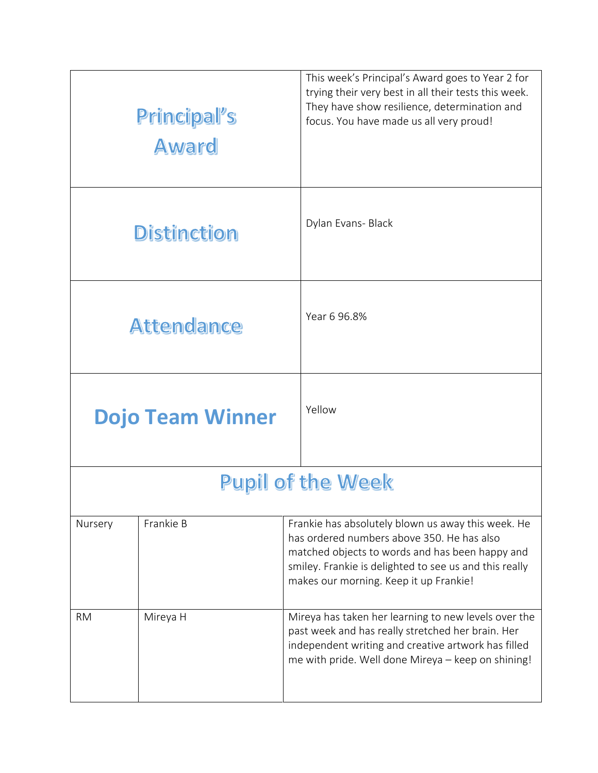| Principal's<br><b>Award</b> |                         | This week's Principal's Award goes to Year 2 for<br>trying their very best in all their tests this week.<br>They have show resilience, determination and<br>focus. You have made us all very proud!                                                     |  |  |
|-----------------------------|-------------------------|---------------------------------------------------------------------------------------------------------------------------------------------------------------------------------------------------------------------------------------------------------|--|--|
| <b>Distinction</b>          |                         | Dylan Evans- Black                                                                                                                                                                                                                                      |  |  |
| <b>Attendance</b>           |                         | Year 6 96.8%                                                                                                                                                                                                                                            |  |  |
|                             | <b>Dojo Team Winner</b> | Yellow                                                                                                                                                                                                                                                  |  |  |
| <b>Pupil of the Week</b>    |                         |                                                                                                                                                                                                                                                         |  |  |
| Nursery                     | Frankie B               | Frankie has absolutely blown us away this week. He<br>has ordered numbers above 350. He has also<br>matched objects to words and has been happy and<br>smiley. Frankie is delighted to see us and this really<br>makes our morning. Keep it up Frankie! |  |  |
| <b>RM</b>                   | Mireya H                | Mireya has taken her learning to new levels over the<br>past week and has really stretched her brain. Her<br>independent writing and creative artwork has filled<br>me with pride. Well done Mireya - keep on shining!                                  |  |  |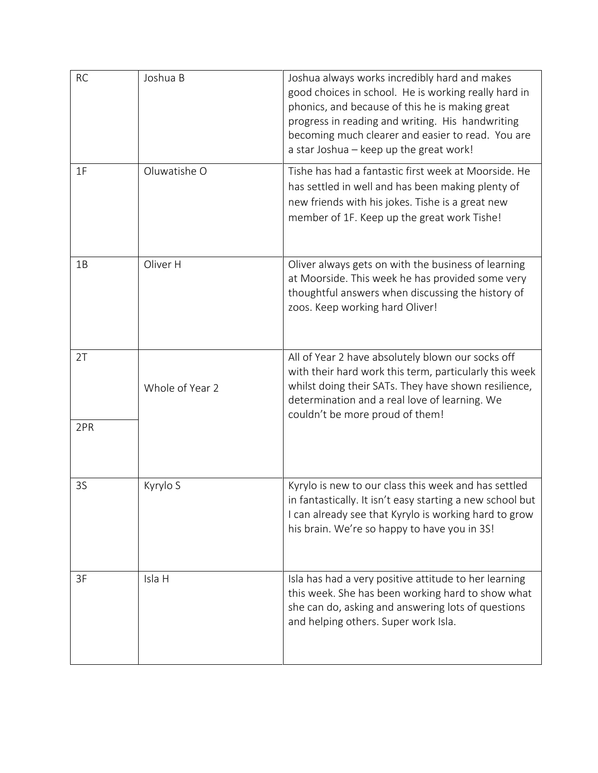| <b>RC</b> | Joshua B        | Joshua always works incredibly hard and makes<br>good choices in school. He is working really hard in<br>phonics, and because of this he is making great<br>progress in reading and writing. His handwriting<br>becoming much clearer and easier to read. You are<br>a star Joshua - keep up the great work! |
|-----------|-----------------|--------------------------------------------------------------------------------------------------------------------------------------------------------------------------------------------------------------------------------------------------------------------------------------------------------------|
| 1F        | Oluwatishe O    | Tishe has had a fantastic first week at Moorside. He<br>has settled in well and has been making plenty of<br>new friends with his jokes. Tishe is a great new<br>member of 1F. Keep up the great work Tishe!                                                                                                 |
| 1B        | Oliver H        | Oliver always gets on with the business of learning<br>at Moorside. This week he has provided some very<br>thoughtful answers when discussing the history of<br>zoos. Keep working hard Oliver!                                                                                                              |
| 2T<br>2PR | Whole of Year 2 | All of Year 2 have absolutely blown our socks off<br>with their hard work this term, particularly this week<br>whilst doing their SATs. They have shown resilience,<br>determination and a real love of learning. We<br>couldn't be more proud of them!                                                      |
| 3S        | Kyrylo S        | Kyrylo is new to our class this week and has settled<br>in fantastically. It isn't easy starting a new school but<br>I can already see that Kyrylo is working hard to grow<br>his brain. We're so happy to have you in 3S!                                                                                   |
| 3F        | Isla H          | Isla has had a very positive attitude to her learning<br>this week. She has been working hard to show what<br>she can do, asking and answering lots of questions<br>and helping others. Super work Isla.                                                                                                     |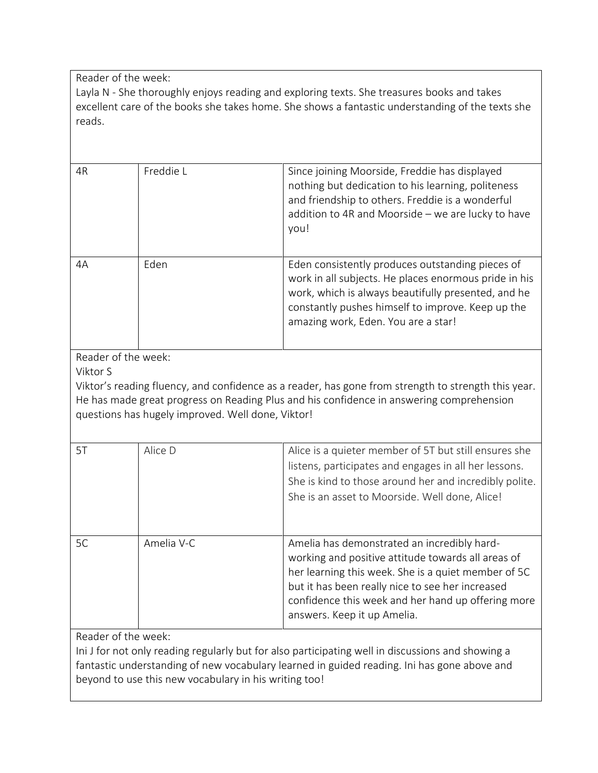Reader of the week:

Layla N - She thoroughly enjoys reading and exploring texts. She treasures books and takes excellent care of the books she takes home. She shows a fantastic understanding of the texts she reads.

| 4R | Freddie L | Since joining Moorside, Freddie has displayed<br>nothing but dedication to his learning, politeness<br>and friendship to others. Freddie is a wonderful<br>addition to 4R and Moorside - we are lucky to have<br>you!                                        |  |
|----|-----------|--------------------------------------------------------------------------------------------------------------------------------------------------------------------------------------------------------------------------------------------------------------|--|
| 4A | Eden      | Eden consistently produces outstanding pieces of<br>work in all subjects. He places enormous pride in his<br>work, which is always beautifully presented, and he<br>constantly pushes himself to improve. Keep up the<br>amazing work, Eden. You are a star! |  |

Reader of the week:

Viktor S

Viktor's reading fluency, and confidence as a reader, has gone from strength to strength this year. He has made great progress on Reading Plus and his confidence in answering comprehension questions has hugely improved. Well done, Viktor!

| 5T | Alice D    | Alice is a quieter member of 5T but still ensures she<br>listens, participates and engages in all her lessons.<br>She is kind to those around her and incredibly polite.<br>She is an asset to Moorside. Well done, Alice!                                                                        |
|----|------------|---------------------------------------------------------------------------------------------------------------------------------------------------------------------------------------------------------------------------------------------------------------------------------------------------|
| 5C | Amelia V-C | Amelia has demonstrated an incredibly hard-<br>working and positive attitude towards all areas of<br>her learning this week. She is a quiet member of 5C<br>but it has been really nice to see her increased<br>confidence this week and her hand up offering more<br>answers. Keep it up Amelia. |

Reader of the week:

Ini J for not only reading regularly but for also participating well in discussions and showing a fantastic understanding of new vocabulary learned in guided reading. Ini has gone above and beyond to use this new vocabulary in his writing too!